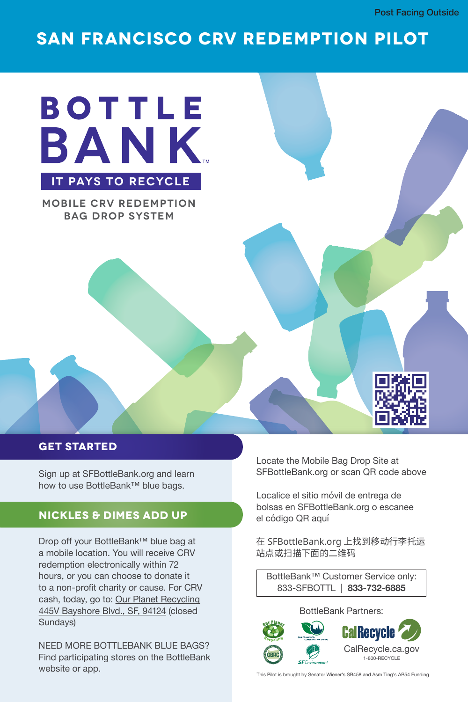### **SAN FRANCISCO CRV REDEMPTION PILOT SAN FRANCISCO CRV REDEMPTION PILOT**



**MOBILE CRV REDEMPTION MOBILE CRV REDEMPTION BAG DROP SYSTEM BAG DROP SYSTEM**



#### **GET STARTED**

**GET STARTED**

how to use BottleBank™ blue bags. Sign up at SFBottleBank.org and learn

#### **NICKLES & DIMES ADD UP**

how to use BottleBank™ blue bags.

**NICKLES & DIMES ADD UP**

a mobile location. You will receive CRV redemption electronically within 72 hours, or you can choose to donate it<br>hours, or you can choose to donate it hours pront originy or badse. Tor or to a n<sub>o</sub>n-profit cause of the cause of charge of the cause of the cause of the cause of character of the cause of the cause of the cause of con-<u>From Baydrian Britain, dr. j. official</u> (diddda<br>Cundovol  $\frac{4}{5}$ Drop off your BottleBank™ blue bag at to a non-profit charity or cause. For CRV cash, today, go to: <u>Our Planet Recycling</u> 445V Bayshore Blvd., SF, 94124 (closed Sundays)

NEED MORE BOTTLEBANK BLUE BAGS? website or app. Find participating stores on the BottleBank Find participating stores on the BottleBank

SFBottleBank.org or scan QR code above Locate the Mobile Bag Drop Site at

bolsas en SFBottleBank.org o escanee el código QR aquí Localice el sitio móvil de entrega de

 $\epsilon$ <u>吥点或扫描卜面的二维</u>码 在 SFBottleBank.org 上找到移动行李托运

珇憠䡝䣴䬞┖ꪫ氳◅簟溞 BottleBank™ Customer Service only: 833-SFBOTTL | **833-732-6885** BottleBank™ Customer Service only:

#### 833-SFB-OTTL | **833-732-6885** BottleBank Partners:



California California<br>California California This Pilot is brought by Senator Wiener's SB458 and Asm Ting's AB54 Funding<br>.